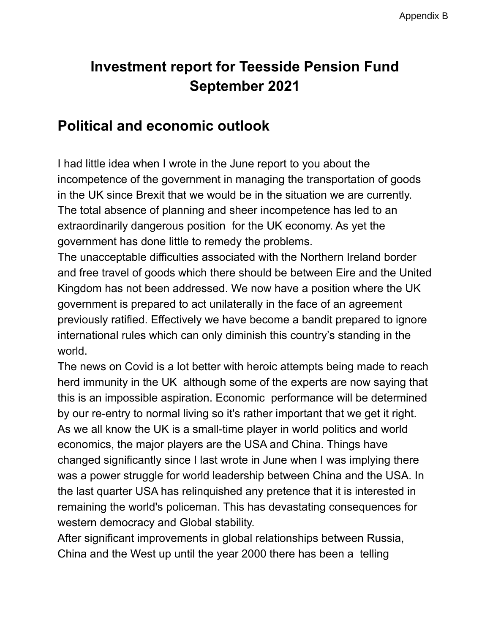# **Investment report for Teesside Pension Fund September 2021**

# **Political and economic outlook**

I had little idea when I wrote in the June report to you about the incompetence of the government in managing the transportation of goods in the UK since Brexit that we would be in the situation we are currently. The total absence of planning and sheer incompetence has led to an extraordinarily dangerous position for the UK economy. As yet the government has done little to remedy the problems.

The unacceptable difficulties associated with the Northern Ireland border and free travel of goods which there should be between Eire and the United Kingdom has not been addressed. We now have a position where the UK government is prepared to act unilaterally in the face of an agreement previously ratified. Effectively we have become a bandit prepared to ignore international rules which can only diminish this country's standing in the world.

The news on Covid is a lot better with heroic attempts being made to reach herd immunity in the UK although some of the experts are now saying that this is an impossible aspiration. Economic performance will be determined by our re-entry to normal living so it's rather important that we get it right. As we all know the UK is a small-time player in world politics and world economics, the major players are the USA and China. Things have changed significantly since I last wrote in June when I was implying there was a power struggle for world leadership between China and the USA. In the last quarter USA has relinquished any pretence that it is interested in remaining the world's policeman. This has devastating consequences for western democracy and Global stability.

After significant improvements in global relationships between Russia, China and the West up until the year 2000 there has been a telling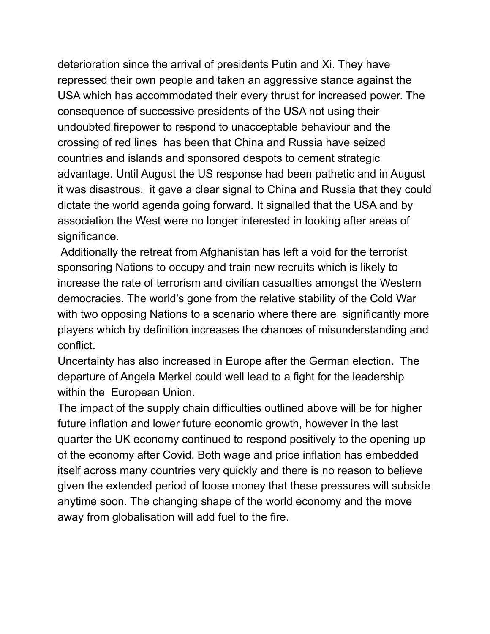deterioration since the arrival of presidents Putin and Xi. They have repressed their own people and taken an aggressive stance against the USA which has accommodated their every thrust for increased power. The consequence of successive presidents of the USA not using their undoubted firepower to respond to unacceptable behaviour and the crossing of red lines has been that China and Russia have seized countries and islands and sponsored despots to cement strategic advantage. Until August the US response had been pathetic and in August it was disastrous. it gave a clear signal to China and Russia that they could dictate the world agenda going forward. It signalled that the USA and by association the West were no longer interested in looking after areas of significance.

Additionally the retreat from Afghanistan has left a void for the terrorist sponsoring Nations to occupy and train new recruits which is likely to increase the rate of terrorism and civilian casualties amongst the Western democracies. The world's gone from the relative stability of the Cold War with two opposing Nations to a scenario where there are significantly more players which by definition increases the chances of misunderstanding and conflict.

Uncertainty has also increased in Europe after the German election. The departure of Angela Merkel could well lead to a fight for the leadership within the European Union.

The impact of the supply chain difficulties outlined above will be for higher future inflation and lower future economic growth, however in the last quarter the UK economy continued to respond positively to the opening up of the economy after Covid. Both wage and price inflation has embedded itself across many countries very quickly and there is no reason to believe given the extended period of loose money that these pressures will subside anytime soon. The changing shape of the world economy and the move away from globalisation will add fuel to the fire.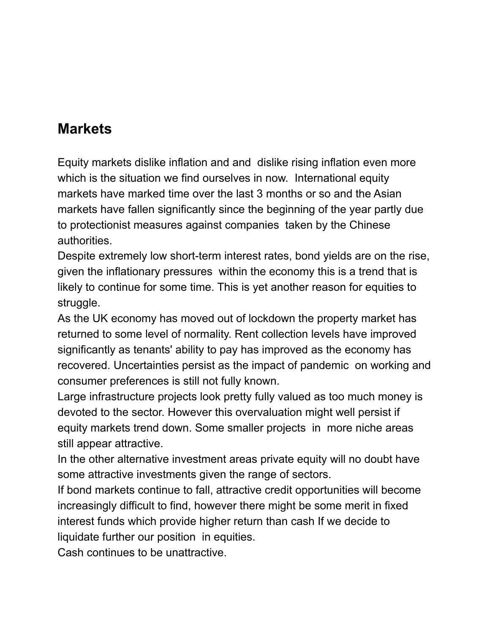### **Markets**

Equity markets dislike inflation and and dislike rising inflation even more which is the situation we find ourselves in now. International equity markets have marked time over the last 3 months or so and the Asian markets have fallen significantly since the beginning of the year partly due to protectionist measures against companies taken by the Chinese authorities.

Despite extremely low short-term interest rates, bond yields are on the rise, given the inflationary pressures within the economy this is a trend that is likely to continue for some time. This is yet another reason for equities to struggle.

As the UK economy has moved out of lockdown the property market has returned to some level of normality. Rent collection levels have improved significantly as tenants' ability to pay has improved as the economy has recovered. Uncertainties persist as the impact of pandemic on working and consumer preferences is still not fully known.

Large infrastructure projects look pretty fully valued as too much money is devoted to the sector. However this overvaluation might well persist if equity markets trend down. Some smaller projects in more niche areas still appear attractive.

In the other alternative investment areas private equity will no doubt have some attractive investments given the range of sectors.

If bond markets continue to fall, attractive credit opportunities will become increasingly difficult to find, however there might be some merit in fixed interest funds which provide higher return than cash If we decide to liquidate further our position in equities.

Cash continues to be unattractive.